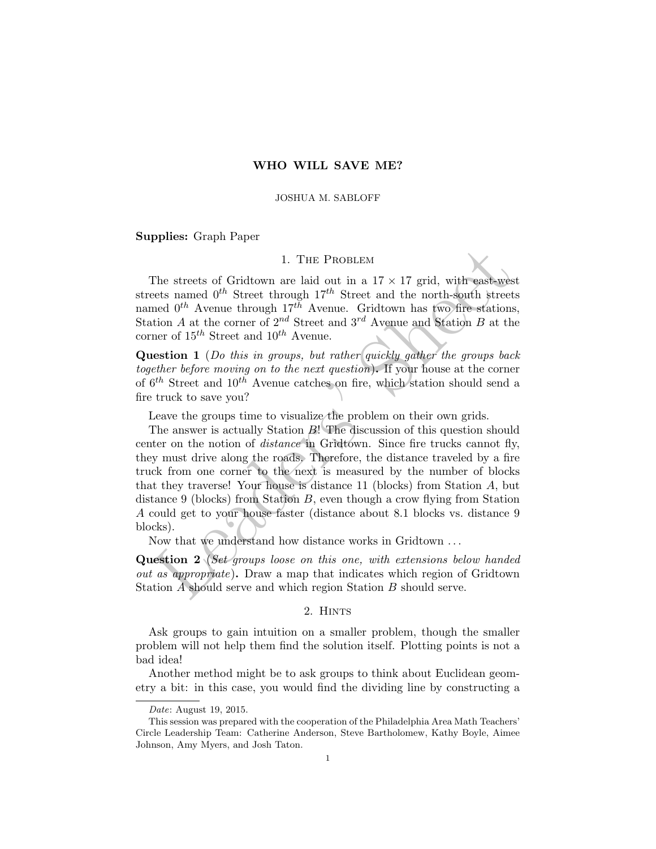# WHO WILL SAVE ME?

#### JOSHUA M. SABLOFF

Supplies: Graph Paper

### 1. The Problem

The streets of Gridtown are laid out in a  $17 \times 17$  grid, with east-west streets named  $0^{th}$  Street through  $17^{th}$  Street and the north-south streets named  $0^{th}$  Avenue through  $17^{th}$  Avenue. Gridtown has two fire stations, Station A at the corner of  $2^{nd}$  Street and  $3^{rd}$  Avenue and Station B at the corner of  $15^{th}$  Street and  $10^{th}$  Avenue.

Question 1 (Do this in groups, but rather quickly gather the groups back together before moving on to the next question). If your house at the corner of  $6^{th}$  Street and  $10^{th}$  Avenue catches on fire, which station should send a fire truck to save you?

Leave the groups time to visualize the problem on their own grids.

1. THE PROBLEM<br>
1. THE PROBLEM<br>
1. The streets of Gridtown are laid out in a  $17 \times 17$  grid, with east-wee<br>
tests named 0<sup>th</sup> Street through  $17^{th}$  Street and the north-south street<br>
need 0<sup>th</sup> Avenue through  $17^{th}$  Ave The answer is actually Station B! The discussion of this question should center on the notion of *distance* in Gridtown. Since fire trucks cannot fly, they must drive along the roads. Therefore, the distance traveled by a fire truck from one corner to the next is measured by the number of blocks that they traverse! Your house is distance 11 (blocks) from Station A, but distance 9 (blocks) from Station  $B$ , even though a crow flying from Station A could get to your house faster (distance about 8.1 blocks vs. distance 9 blocks).

Now that we understand how distance works in Gridtown . . .

Question 2 (Set groups loose on this one, with extensions below handed out as appropriate). Draw a map that indicates which region of Gridtown Station A should serve and which region Station B should serve.

#### 2. Hints

Ask groups to gain intuition on a smaller problem, though the smaller problem will not help them find the solution itself. Plotting points is not a bad idea!

Another method might be to ask groups to think about Euclidean geometry a bit: in this case, you would find the dividing line by constructing a

Date: August 19, 2015.

This session was prepared with the cooperation of the Philadelphia Area Math Teachers' Circle Leadership Team: Catherine Anderson, Steve Bartholomew, Kathy Boyle, Aimee Johnson, Amy Myers, and Josh Taton.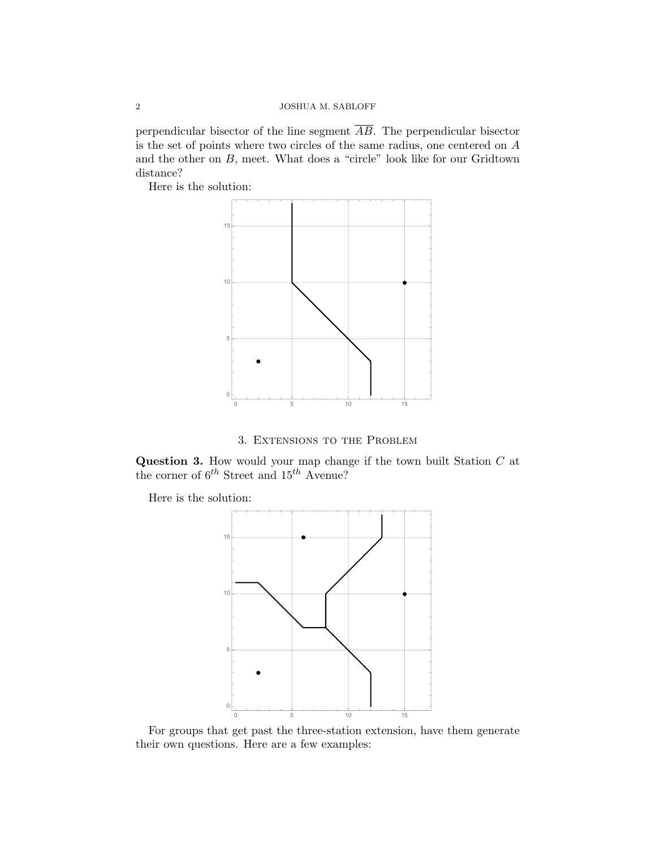perpendicular bisector of the line segment  $\overline{AB}$ . The perpendicular bisector is the set of points where two circles of the same radius, one centered on A and the other on B, meet. What does a "circle" look like for our Gridtown distance?

Here is the solution:



3. Extensions to the Problem

Question 3. How would your map change if the town built Station  $C$  at the corner of  $6^{th}$  Street and  $15^{th}$  Avenue?

Here is the solution:



For groups that get past the three-station extension, have them generate their own questions. Here are a few examples: